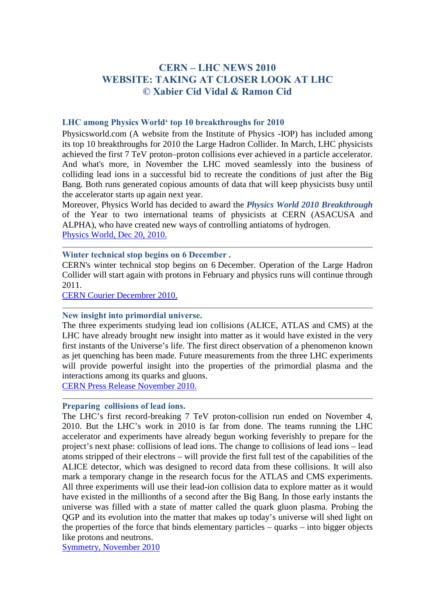# **CERN – LHC NEWS 2010 WEBSITE: TAKING AT CLOSER LOOK AT LHC © Xabier Cid Vidal & Ramon Cid**

# **LHC among Physics World' top 10 breakthroughs for 2010**

Physicsworld.com (A website from the Institute of Physics -IOP) has included among its top 10 breakthroughs for 2010 the Large Hadron Collider. In March, LHC physicists achieved the first 7 TeV proton–proton collisions ever achieved in a particle accelerator. And what's more, in November the LHC moved seamlessly into the business of colliding lead ions in a successful bid to recreate the conditions of just after the Big Bang. Both runs generated copious amounts of data that will keep physicists busy until the accelerator starts up again next year.

Moreover, Physics World has decided to award the *Physics World 2010 Breakthrough* of the Year to two international teams of physicists at CERN (ASACUSA and ALPHA), who have created new ways of controlling antiatoms of hydrogen. [Physics World, Dec 20, 2010.](http://physicsworld.com/cws/article/news/44618)

## **Winter technical stop begins on 6 December .**

CERN's winter technical stop begins on 6 December. Operation of the Large Hadron Collider will start again with protons in February and physics runs will continue through 2011.

[CERN Courier Decembrer 2010.](http://cerncourier.com/cws/article/cern/44344)

# **New insight into primordial universe.**

The three experiments studying lead ion collisions (ALICE, ATLAS and CMS) at the LHC have already brought new insight into matter as it would have existed in the very first instants of the Universe's life. The first direct observation of a phenomenon known as jet quenching has been made. Future measurements from the three LHC experiments will provide powerful insight into the properties of the primordial plasma and the interactions among its quarks and gluons.

[CERN Press Release November 2010.](http://press.web.cern.ch/press/PressReleases/Releases2010/PR23.10E.html)

#### **Preparing collisions of lead ions.**

The LHC's first record-breaking 7 TeV proton-collision run ended on November 4, 2010. But the LHC's work in 2010 is far from done. The teams running the LHC accelerator and experiments have already begun working feverishly to prepare for the project's next phase: collisions of lead ions. The change to collisions of lead ions – lead atoms stripped of their electrons – will provide the first full test of the capabilities of the ALICE detector, which was designed to record data from these collisions. It will also mark a temporary change in the research focus for the ATLAS and CMS experiments. All three experiments will use their lead-ion collision data to explore matter as it would have existed in the millionths of a second after the Big Bang. In those early instants the universe was filled with a state of matter called the quark gluon plasma. Probing the QGP and its evolution into the matter that makes up today's universe will shed light on the properties of the force that binds elementary particles – quarks – into bigger objects like protons and neutrons.

[Symmetry, November 2010](http://www.symmetrymagazine.org/breaking/2010/11/04/large-hadron-collider-pauses-protons-looks-ahead-to-lead/)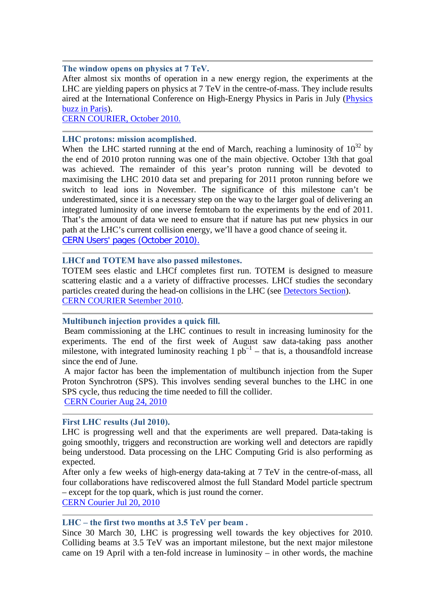#### **The window opens on physics at 7 TeV.**

After almost six months of operation in a new energy region, the experiments at the LHC are yielding papers on physics at 7 TeV in the centre-of-mass. They include results aired at the International Conference on High-Energy Physics in Paris in July (Physics [buzz in Paris\)](http://cerncourier.com/cws/article/cern/xxxxx).

[CERN COURIER, October 2010.](http://cerncourier.com/cws/article/cern/44094)

## **LHC protons: mission acomplished**.

When the LHC started running at the end of March, reaching a luminosity of  $10^{32}$  by the end of 2010 proton running was one of the main objective. October 13th that goal was achieved. The remainder of this year's proton running will be devoted to maximising the LHC 2010 data set and preparing for 2011 proton running before we switch to lead ions in November. The significance of this milestone can't be underestimated, since it is a necessary step on the way to the larger goal of delivering an integrated luminosity of one inverse femtobarn to the experiments by the end of 2011. That's the amount of data we need to ensure that if nature has put new physics in our path at the LHC's current collision energy, we'll have a good chance of seeing it. [CERN Users' pages \(October 2010\).](http://user.web.cern.ch/user/news/2010/101014.html)

## **LHCf and TOTEM have also passed milestones.**

TOTEM sees elastic and LHCf completes first run. TOTEM is designed to measure scattering elastic and a a variety of diffractive processes. LHCf studies the secondary particles created during the head-on collisions in the LHC (see [Detectors Section\)](http://lhc-closer.es/php/index.php?i=1&s=5&p=8&e=0). [CERN COURIER Setember 2010.](http://cerncourier.com/cws/article/cern/43494)

# **Multibunch injection provides a quick fill.**

Beam commissioning at the LHC continues to result in increasing luminosity for the experiments. The end of the first week of August saw data-taking pass another milestone, with integrated luminosity reaching  $1 pb^{-1}$  – that is, a thousandfold increase since the end of June.

A major factor has been the implementation of multibunch injection from the Super Proton Synchrotron (SPS). This involves sending several bunches to the LHC in one SPS cycle, thus reducing the time needed to fill the collider.

[CERN Courier Aug 24, 2010](http://cerncourier.com/cws/article/cern/43493)

# **First LHC results (Jul 2010).**

LHC is progressing well and that the experiments are well prepared. Data-taking is going smoothly, triggers and reconstruction are working well and detectors are rapidly being understood. Data processing on the LHC Computing Grid is also performing as expected.

After only a few weeks of high-energy data-taking at 7 TeV in the centre-of-mass, all four collaborations have rediscovered almost the full Standard Model particle spectrum – except for the top quark, which is just round the corner.

[CERN Courier Jul 20, 2010](http://cerncourier.com/cws/article/cern/43182) 

#### **LHC – the first two months at 3.5 TeV per beam .**

Since 30 March 30, LHC is progressing well towards the key objectives for 2010. Colliding beams at 3.5 TeV was an important milestone, but the next major milestone came on 19 April with a ten-fold increase in luminosity – in other words, the machine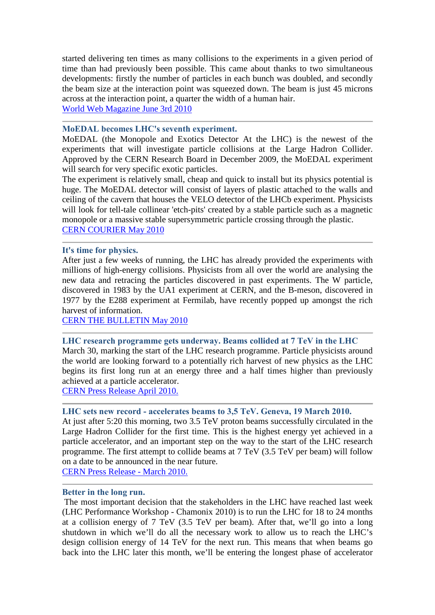started delivering ten times as many collisions to the experiments in a given period of time than had previously been possible. This came about thanks to two simultaneous developments: firstly the number of particles in each bunch was doubled, and secondly the beam size at the interaction point was squeezed down. The beam is just 45 microns across at the interaction point, a quarter the width of a human hair.

[World Web Magazine June 3rd 2010](http://wwmag.eu/world/lhc-2-months-at-3-5-tev.html)

# **MoEDAL becomes LHC's seventh experiment.**

MoEDAL (the Monopole and Exotics Detector At the LHC) is the newest of the experiments that will investigate particle collisions at the Large Hadron Collider. Approved by the CERN Research Board in December 2009, the MoEDAL experiment will search for very specific exotic particles.

The experiment is relatively small, cheap and quick to install but its physics potential is huge. The MoEDAL detector will consist of layers of plastic attached to the walls and ceiling of the cavern that houses the VELO detector of the LHCb experiment. Physicists will look for tell-tale collinear 'etch-pits' created by a stable particle such as a magnetic monopole or a massive stable supersymmetric particle crossing through the plastic. [CERN COURIER May 2010](http://cerncourier.com/cws/article/cern/42329)

## **It's time for physics.**

After just a few weeks of running, the LHC has already provided the experiments with millions of high-energy collisions. Physicists from all over the world are analysing the new data and retracing the particles discovered in past experiments. The W particle, discovered in 1983 by the UA1 experiment at CERN, and the B-meson, discovered in 1977 by the E288 experiment at Fermilab, have recently popped up amongst the rich harvest of information.

[CERN THE BULLETIN May 2010](http://cdsweb.cern.ch/journal/CERNBulletin/2010/18/News%20Articles/1261777?ln=en)

# **LHC research programme gets underway. Beams collided at 7 TeV in the LHC**

March 30, marking the start of the LHC research programme. Particle physicists around the world are looking forward to a potentially rich harvest of new physics as the LHC begins its first long run at an energy three and a half times higher than previously achieved at a particle accelerator.

[CERN Press Release April 2010.](http://press.web.cern.ch/press/PressReleases/Releases2010/PR07.10E.html)

## **LHC sets new record - accelerates beams to 3,5 TeV. Geneva, 19 March 2010.**

At just after 5:20 this morning, two 3.5 TeV proton beams successfully circulated in the Large Hadron Collider for the first time. This is the highest energy yet achieved in a particle accelerator, and an important step on the way to the start of the LHC research programme. The first attempt to collide beams at 7 TeV (3.5 TeV per beam) will follow on a date to be announced in the near future.

CERN [Press Release - March 2010.](http://press.web.cern.ch/press/PressReleases/Releases2010/PR05.10E.html)

#### **Better in the long run.**

The most important decision that the stakeholders in the LHC have reached last week (LHC Performance Workshop - Chamonix 2010) is to run the LHC for 18 to 24 months at a collision energy of 7 TeV (3.5 TeV per beam). After that, we'll go into a long shutdown in which we'll do all the necessary work to allow us to reach the LHC's design collision energy of 14 TeV for the next run. This means that when beams go back into the LHC later this month, we'll be entering the longest phase of accelerator